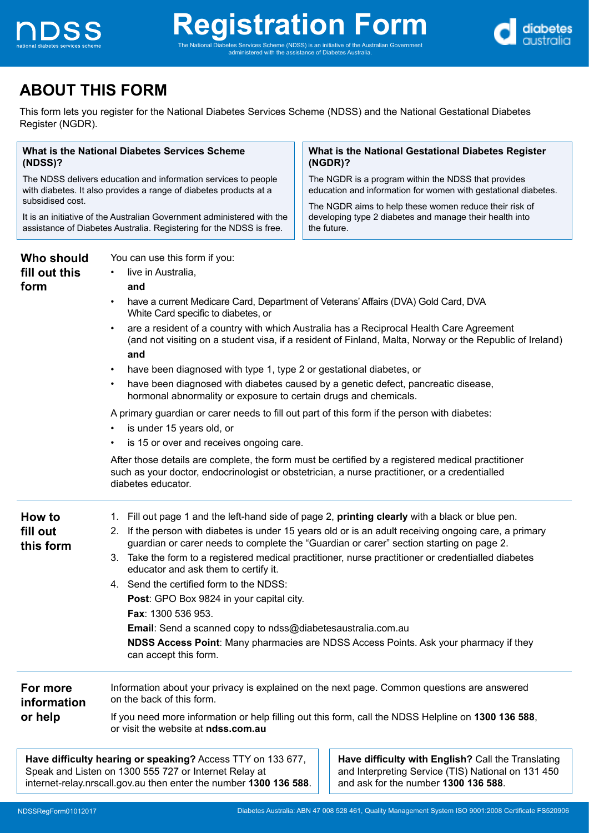

administered with the assistance of Diabetes Australia.



# **ABOUT THIS FORM**

This form lets you register for the National Diabetes Services Scheme (NDSS) and the National Gestational Diabetes Register (NGDR).

| What is the National Diabetes Services Scheme<br>(NDSS)?<br>The NDSS delivers education and information services to people<br>with diabetes. It also provides a range of diabetes products at a<br>subsidised cost.<br>It is an initiative of the Australian Government administered with the<br>assistance of Diabetes Australia. Registering for the NDSS is free. |                                                                                                                                                                                                                                                                                                                                                                                                                                                                                                                                                                                                                                                                                                                                                                                                                                                                                                                                                                                                                                                                                    | What is the National Gestational Diabetes Register<br>$(NGDR)$ ?                                                                                                                                                                                                                                                                                                                                                                                                                                   |  |
|----------------------------------------------------------------------------------------------------------------------------------------------------------------------------------------------------------------------------------------------------------------------------------------------------------------------------------------------------------------------|------------------------------------------------------------------------------------------------------------------------------------------------------------------------------------------------------------------------------------------------------------------------------------------------------------------------------------------------------------------------------------------------------------------------------------------------------------------------------------------------------------------------------------------------------------------------------------------------------------------------------------------------------------------------------------------------------------------------------------------------------------------------------------------------------------------------------------------------------------------------------------------------------------------------------------------------------------------------------------------------------------------------------------------------------------------------------------|----------------------------------------------------------------------------------------------------------------------------------------------------------------------------------------------------------------------------------------------------------------------------------------------------------------------------------------------------------------------------------------------------------------------------------------------------------------------------------------------------|--|
|                                                                                                                                                                                                                                                                                                                                                                      |                                                                                                                                                                                                                                                                                                                                                                                                                                                                                                                                                                                                                                                                                                                                                                                                                                                                                                                                                                                                                                                                                    | The NGDR is a program within the NDSS that provides<br>education and information for women with gestational diabetes.                                                                                                                                                                                                                                                                                                                                                                              |  |
|                                                                                                                                                                                                                                                                                                                                                                      |                                                                                                                                                                                                                                                                                                                                                                                                                                                                                                                                                                                                                                                                                                                                                                                                                                                                                                                                                                                                                                                                                    | The NGDR aims to help these women reduce their risk of<br>developing type 2 diabetes and manage their health into<br>the future.                                                                                                                                                                                                                                                                                                                                                                   |  |
| Who should<br>fill out this<br>form                                                                                                                                                                                                                                                                                                                                  | You can use this form if you:<br>live in Australia,<br>$\bullet$<br>and<br>have a current Medicare Card, Department of Veterans' Affairs (DVA) Gold Card, DVA<br>$\bullet$<br>White Card specific to diabetes, or<br>are a resident of a country with which Australia has a Reciprocal Health Care Agreement<br>(and not visiting on a student visa, if a resident of Finland, Malta, Norway or the Republic of Ireland)<br>and<br>have been diagnosed with type 1, type 2 or gestational diabetes, or<br>have been diagnosed with diabetes caused by a genetic defect, pancreatic disease,<br>$\bullet$<br>hormonal abnormality or exposure to certain drugs and chemicals.<br>A primary guardian or carer needs to fill out part of this form if the person with diabetes:<br>is under 15 years old, or<br>is 15 or over and receives ongoing care.<br>After those details are complete, the form must be certified by a registered medical practitioner<br>such as your doctor, endocrinologist or obstetrician, a nurse practitioner, or a credentialled<br>diabetes educator. |                                                                                                                                                                                                                                                                                                                                                                                                                                                                                                    |  |
| How to<br>fill out<br>this form                                                                                                                                                                                                                                                                                                                                      | educator and ask them to certify it.<br>4. Send the certified form to the NDSS:<br>Post: GPO Box 9824 in your capital city.<br><b>Fax: 1300 536 953.</b><br>Email: Send a scanned copy to ndss@diabetesaustralia.com.au<br>can accept this form.                                                                                                                                                                                                                                                                                                                                                                                                                                                                                                                                                                                                                                                                                                                                                                                                                                   | 1. Fill out page 1 and the left-hand side of page 2, printing clearly with a black or blue pen.<br>2. If the person with diabetes is under 15 years old or is an adult receiving ongoing care, a primary<br>guardian or carer needs to complete the "Guardian or carer" section starting on page 2.<br>3. Take the form to a registered medical practitioner, nurse practitioner or credentialled diabetes<br>NDSS Access Point: Many pharmacies are NDSS Access Points. Ask your pharmacy if they |  |
| For more<br>Information about your privacy is explained on the next page. Common questions are answered<br>on the back of this form.<br>information<br>or help<br>If you need more information or help filling out this form, call the NDSS Helpline on 1300 136 588,<br>or visit the website at ndss.com.au                                                         |                                                                                                                                                                                                                                                                                                                                                                                                                                                                                                                                                                                                                                                                                                                                                                                                                                                                                                                                                                                                                                                                                    |                                                                                                                                                                                                                                                                                                                                                                                                                                                                                                    |  |
|                                                                                                                                                                                                                                                                                                                                                                      | Have difficulty hearing or speaking? Access TTY on 133 677,<br>Speak and Listen on 1300 555 727 or Internet Relay at<br>internet-relay.nrscall.gov.au then enter the number 1300 136 588.                                                                                                                                                                                                                                                                                                                                                                                                                                                                                                                                                                                                                                                                                                                                                                                                                                                                                          | Have difficulty with English? Call the Translating<br>and Interpreting Service (TIS) National on 131 450<br>and ask for the number 1300 136 588.                                                                                                                                                                                                                                                                                                                                                   |  |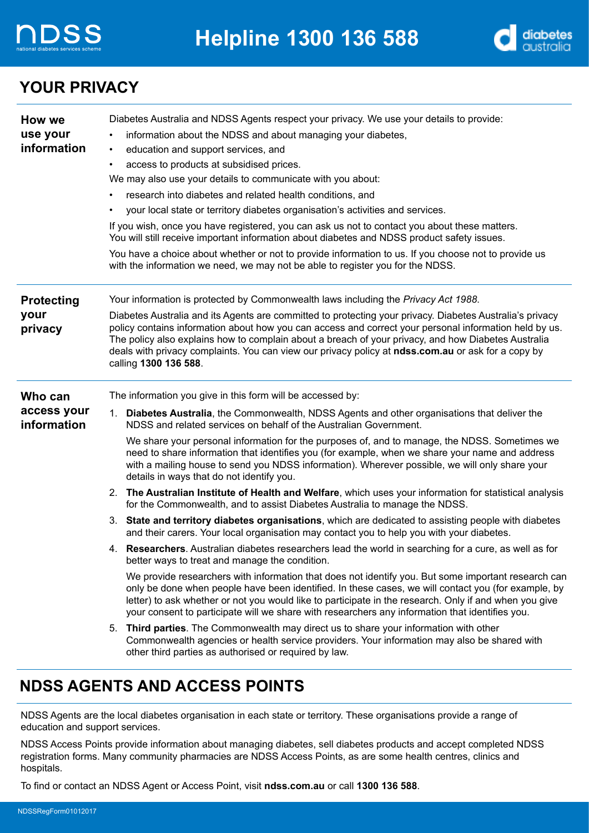



### **YOUR PRIVACY**

| How we<br>use your<br>information | Diabetes Australia and NDSS Agents respect your privacy. We use your details to provide:<br>information about the NDSS and about managing your diabetes,<br>education and support services, and<br>$\bullet$<br>access to products at subsidised prices.<br>$\bullet$<br>We may also use your details to communicate with you about:<br>research into diabetes and related health conditions, and<br>your local state or territory diabetes organisation's activities and services. |  |
|-----------------------------------|-------------------------------------------------------------------------------------------------------------------------------------------------------------------------------------------------------------------------------------------------------------------------------------------------------------------------------------------------------------------------------------------------------------------------------------------------------------------------------------|--|
|                                   | If you wish, once you have registered, you can ask us not to contact you about these matters.<br>You will still receive important information about diabetes and NDSS product safety issues.                                                                                                                                                                                                                                                                                        |  |
|                                   | You have a choice about whether or not to provide information to us. If you choose not to provide us<br>with the information we need, we may not be able to register you for the NDSS.                                                                                                                                                                                                                                                                                              |  |
| <b>Protecting</b>                 | Your information is protected by Commonwealth laws including the Privacy Act 1988.                                                                                                                                                                                                                                                                                                                                                                                                  |  |
| your<br>privacy                   | Diabetes Australia and its Agents are committed to protecting your privacy. Diabetes Australia's privacy<br>policy contains information about how you can access and correct your personal information held by us.<br>The policy also explains how to complain about a breach of your privacy, and how Diabetes Australia<br>deals with privacy complaints. You can view our privacy policy at ndss.com.au or ask for a copy by<br>calling 1300 136 588.                            |  |
| Who can                           | The information you give in this form will be accessed by:                                                                                                                                                                                                                                                                                                                                                                                                                          |  |
| access your<br>information        | 1. Diabetes Australia, the Commonwealth, NDSS Agents and other organisations that deliver the<br>NDSS and related services on behalf of the Australian Government.                                                                                                                                                                                                                                                                                                                  |  |
|                                   | We share your personal information for the purposes of, and to manage, the NDSS. Sometimes we<br>need to share information that identifies you (for example, when we share your name and address<br>with a mailing house to send you NDSS information). Wherever possible, we will only share your<br>details in ways that do not identify you.                                                                                                                                     |  |
|                                   | 2. The Australian Institute of Health and Welfare, which uses your information for statistical analysis<br>for the Commonwealth, and to assist Diabetes Australia to manage the NDSS.                                                                                                                                                                                                                                                                                               |  |
|                                   | 3. State and territory diabetes organisations, which are dedicated to assisting people with diabetes<br>and their carers. Your local organisation may contact you to help you with your diabetes.                                                                                                                                                                                                                                                                                   |  |
|                                   | 4. Researchers. Australian diabetes researchers lead the world in searching for a cure, as well as for<br>better ways to treat and manage the condition.                                                                                                                                                                                                                                                                                                                            |  |
|                                   | We provide researchers with information that does not identify you. But some important research can<br>only be done when people have been identified. In these cases, we will contact you (for example, by<br>letter) to ask whether or not you would like to participate in the research. Only if and when you give<br>your consent to participate will we share with researchers any information that identifies you.                                                             |  |
|                                   | 5. Third parties. The Commonwealth may direct us to share your information with other<br>Commonwealth agencies or health service providers. Your information may also be shared with<br>other third parties as authorised or required by law.                                                                                                                                                                                                                                       |  |
|                                   | <b>NDSS AGENTS AND ACCESS POINTS</b>                                                                                                                                                                                                                                                                                                                                                                                                                                                |  |

NDSS Agents are the local diabetes organisation in each state or territory. These organisations provide a range of education and support services.

NDSS Access Points provide information about managing diabetes, sell diabetes products and accept completed NDSS registration forms. Many community pharmacies are NDSS Access Points, as are some health centres, clinics and hospitals.

To find or contact an NDSS Agent or Access Point, visit **ndss.com.au** or call **1300 136 588**.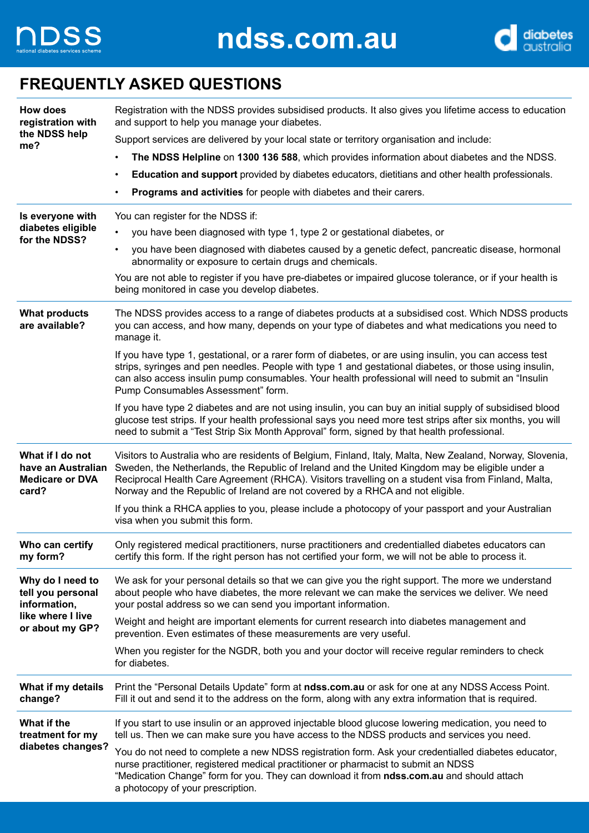



### **FREQUENTLY ASKED QUESTIONS**

| How does<br>registration with                                             | Registration with the NDSS provides subsidised products. It also gives you lifetime access to education<br>and support to help you manage your diabetes.                                                                                                                                                                                                                                              |
|---------------------------------------------------------------------------|-------------------------------------------------------------------------------------------------------------------------------------------------------------------------------------------------------------------------------------------------------------------------------------------------------------------------------------------------------------------------------------------------------|
| the NDSS help<br>me?                                                      | Support services are delivered by your local state or territory organisation and include:                                                                                                                                                                                                                                                                                                             |
|                                                                           | The NDSS Helpline on 1300 136 588, which provides information about diabetes and the NDSS.                                                                                                                                                                                                                                                                                                            |
|                                                                           | Education and support provided by diabetes educators, dietitians and other health professionals.                                                                                                                                                                                                                                                                                                      |
|                                                                           | Programs and activities for people with diabetes and their carers.                                                                                                                                                                                                                                                                                                                                    |
| Is everyone with                                                          | You can register for the NDSS if:                                                                                                                                                                                                                                                                                                                                                                     |
| diabetes eligible<br>for the NDSS?                                        | you have been diagnosed with type 1, type 2 or gestational diabetes, or                                                                                                                                                                                                                                                                                                                               |
|                                                                           | you have been diagnosed with diabetes caused by a genetic defect, pancreatic disease, hormonal<br>$\bullet$<br>abnormality or exposure to certain drugs and chemicals.                                                                                                                                                                                                                                |
|                                                                           | You are not able to register if you have pre-diabetes or impaired glucose tolerance, or if your health is<br>being monitored in case you develop diabetes.                                                                                                                                                                                                                                            |
| <b>What products</b><br>are available?                                    | The NDSS provides access to a range of diabetes products at a subsidised cost. Which NDSS products<br>you can access, and how many, depends on your type of diabetes and what medications you need to<br>manage it.                                                                                                                                                                                   |
|                                                                           | If you have type 1, gestational, or a rarer form of diabetes, or are using insulin, you can access test<br>strips, syringes and pen needles. People with type 1 and gestational diabetes, or those using insulin,<br>can also access insulin pump consumables. Your health professional will need to submit an "Insulin<br>Pump Consumables Assessment" form.                                         |
|                                                                           | If you have type 2 diabetes and are not using insulin, you can buy an initial supply of subsidised blood<br>glucose test strips. If your health professional says you need more test strips after six months, you will<br>need to submit a "Test Strip Six Month Approval" form, signed by that health professional.                                                                                  |
| What if I do not<br>have an Australian<br><b>Medicare or DVA</b><br>card? | Visitors to Australia who are residents of Belgium, Finland, Italy, Malta, New Zealand, Norway, Slovenia,<br>Sweden, the Netherlands, the Republic of Ireland and the United Kingdom may be eligible under a<br>Reciprocal Health Care Agreement (RHCA). Visitors travelling on a student visa from Finland, Malta,<br>Norway and the Republic of Ireland are not covered by a RHCA and not eligible. |
|                                                                           | If you think a RHCA applies to you, please include a photocopy of your passport and your Australian<br>visa when you submit this form.                                                                                                                                                                                                                                                                |
| Who can certify<br>my form?                                               | Only registered medical practitioners, nurse practitioners and credentialled diabetes educators can<br>certify this form. If the right person has not certified your form, we will not be able to process it.                                                                                                                                                                                         |
| Why do I need to<br>tell you personal<br>information,                     | We ask for your personal details so that we can give you the right support. The more we understand<br>about people who have diabetes, the more relevant we can make the services we deliver. We need<br>your postal address so we can send you important information.                                                                                                                                 |
| like where I live<br>or about my GP?                                      | Weight and height are important elements for current research into diabetes management and<br>prevention. Even estimates of these measurements are very useful.                                                                                                                                                                                                                                       |
|                                                                           | When you register for the NGDR, both you and your doctor will receive regular reminders to check<br>for diabetes.                                                                                                                                                                                                                                                                                     |
| What if my details<br>change?                                             | Print the "Personal Details Update" form at ndss.com.au or ask for one at any NDSS Access Point.<br>Fill it out and send it to the address on the form, along with any extra information that is required.                                                                                                                                                                                            |
| What if the<br>treatment for my                                           | If you start to use insulin or an approved injectable blood glucose lowering medication, you need to<br>tell us. Then we can make sure you have access to the NDSS products and services you need.                                                                                                                                                                                                    |
| diabetes changes?                                                         | You do not need to complete a new NDSS registration form. Ask your credentialled diabetes educator,<br>nurse practitioner, registered medical practitioner or pharmacist to submit an NDSS<br>"Medication Change" form for you. They can download it from ndss.com.au and should attach<br>a photocopy of your prescription.                                                                          |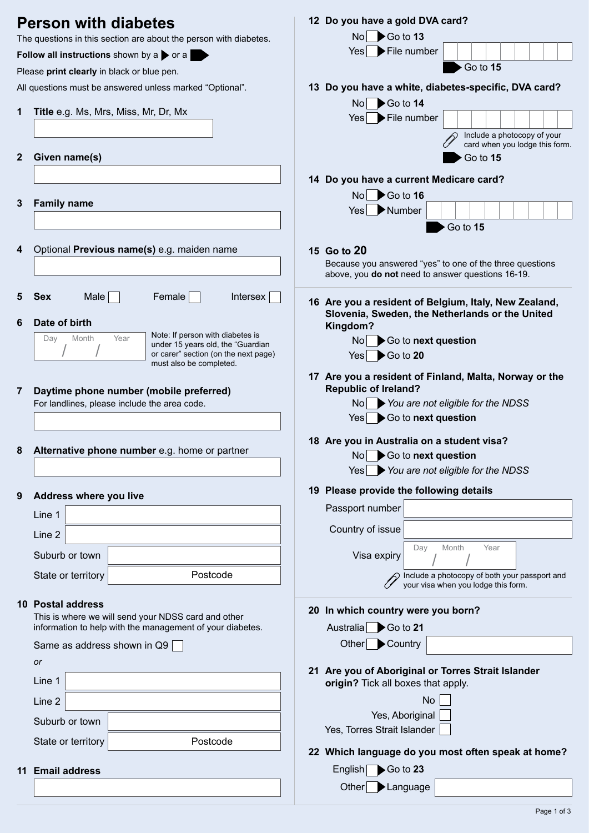|              | <b>Person with diabetes</b>                                               | 12 Do you have a gold DVA card?                                                                                                                                                                                                                                                                                                                                                      |
|--------------|---------------------------------------------------------------------------|--------------------------------------------------------------------------------------------------------------------------------------------------------------------------------------------------------------------------------------------------------------------------------------------------------------------------------------------------------------------------------------|
|              | The questions in this section are about the person with diabetes.         | $\overline{N}$ $\overline{O}$ Go to 13                                                                                                                                                                                                                                                                                                                                               |
|              | Follow all instructions shown by a $\triangleright$ or a                  | $Yes \rightarrow File$ number                                                                                                                                                                                                                                                                                                                                                        |
|              | Please print clearly in black or blue pen.                                | Go to 15                                                                                                                                                                                                                                                                                                                                                                             |
|              | All questions must be answered unless marked "Optional".                  | 13 Do you have a white, diabetes-specific, DVA card?                                                                                                                                                                                                                                                                                                                                 |
|              |                                                                           | $\text{No}$ Go to 14                                                                                                                                                                                                                                                                                                                                                                 |
| 1            | Title e.g. Ms, Mrs, Miss, Mr, Dr, Mx                                      | $Yes \rightarrow File$ number                                                                                                                                                                                                                                                                                                                                                        |
|              |                                                                           | Include a photocopy of your<br>card when you lodge this form.                                                                                                                                                                                                                                                                                                                        |
| $\mathbf{2}$ | Given name(s)                                                             | Go to 15                                                                                                                                                                                                                                                                                                                                                                             |
|              |                                                                           |                                                                                                                                                                                                                                                                                                                                                                                      |
|              |                                                                           | 14 Do you have a current Medicare card?                                                                                                                                                                                                                                                                                                                                              |
| 3            | <b>Family name</b>                                                        | $\overline{N}$ $\overline{O}$ $\overline{O}$ $\overline{O}$ $\overline{O}$ $\overline{O}$ $\overline{O}$ $\overline{O}$ $\overline{O}$ $\overline{O}$ $\overline{O}$ $\overline{O}$ $\overline{O}$ $\overline{O}$ $\overline{O}$ $\overline{O}$ $\overline{O}$ $\overline{O}$ $\overline{O}$ $\overline{O}$ $\overline{O}$ $\overline{O}$ $\overline{O}$ $\overline{O}$ $\overline{$ |
|              |                                                                           | Yes Number                                                                                                                                                                                                                                                                                                                                                                           |
|              |                                                                           | Go to 15                                                                                                                                                                                                                                                                                                                                                                             |
|              |                                                                           |                                                                                                                                                                                                                                                                                                                                                                                      |
| 4            | Optional Previous name(s) e.g. maiden name                                | 15 Go to 20<br>Because you answered "yes" to one of the three questions                                                                                                                                                                                                                                                                                                              |
|              |                                                                           | above, you do not need to answer questions 16-19.                                                                                                                                                                                                                                                                                                                                    |
|              |                                                                           |                                                                                                                                                                                                                                                                                                                                                                                      |
| 5            | $Male \vert$<br>Intersex<br><b>Sex</b><br>Female                          | 16 Are you a resident of Belgium, Italy, New Zealand,                                                                                                                                                                                                                                                                                                                                |
| 6            | Date of birth                                                             | Slovenia, Sweden, the Netherlands or the United<br>Kingdom?                                                                                                                                                                                                                                                                                                                          |
|              | Note: If person with diabetes is<br>Month<br>Year<br>Day                  | $\text{No}$ $\blacktriangleright$ Go to next question                                                                                                                                                                                                                                                                                                                                |
|              | under 15 years old, the "Guardian<br>or carer" section (on the next page) | $Yes \rightarrow Go$ to 20                                                                                                                                                                                                                                                                                                                                                           |
|              | must also be completed.                                                   |                                                                                                                                                                                                                                                                                                                                                                                      |
|              |                                                                           | 17 Are you a resident of Finland, Malta, Norway or the                                                                                                                                                                                                                                                                                                                               |
| 7            | Daytime phone number (mobile preferred)                                   | <b>Republic of Ireland?</b>                                                                                                                                                                                                                                                                                                                                                          |
|              | For landlines, please include the area code.                              | $\overline{N}$ No $\overline{N}$ You are not eligible for the NDSS                                                                                                                                                                                                                                                                                                                   |
|              |                                                                           | $Yes \rightarrow Go$ to next question                                                                                                                                                                                                                                                                                                                                                |
|              |                                                                           | 18 Are you in Australia on a student visa?                                                                                                                                                                                                                                                                                                                                           |
| ŏ            | <b>Alternative phone number</b> e.g. nome or partner                      | Go to next question<br>No l                                                                                                                                                                                                                                                                                                                                                          |
|              |                                                                           | You are not eligible for the NDSS<br>Yes                                                                                                                                                                                                                                                                                                                                             |
| 9            | Address where you live                                                    | 19 Please provide the following details                                                                                                                                                                                                                                                                                                                                              |
|              | Line 1                                                                    | Passport number                                                                                                                                                                                                                                                                                                                                                                      |
|              | Line 2                                                                    | Country of issue                                                                                                                                                                                                                                                                                                                                                                     |
|              | Suburb or town                                                            | Day<br>Month<br>Year                                                                                                                                                                                                                                                                                                                                                                 |
|              |                                                                           | Visa expiry                                                                                                                                                                                                                                                                                                                                                                          |
|              | Postcode<br>State or territory                                            | Include a photocopy of both your passport and<br>your visa when you lodge this form.                                                                                                                                                                                                                                                                                                 |
|              | <b>10 Postal address</b>                                                  |                                                                                                                                                                                                                                                                                                                                                                                      |
|              | This is where we will send your NDSS card and other                       | 20 In which country were you born?                                                                                                                                                                                                                                                                                                                                                   |
|              | information to help with the management of your diabetes.                 | Australia Go to 21                                                                                                                                                                                                                                                                                                                                                                   |
|              | Same as address shown in Q9                                               | Other Country                                                                                                                                                                                                                                                                                                                                                                        |
|              | or                                                                        |                                                                                                                                                                                                                                                                                                                                                                                      |
|              | Line 1                                                                    | 21 Are you of Aboriginal or Torres Strait Islander<br>origin? Tick all boxes that apply.                                                                                                                                                                                                                                                                                             |
|              |                                                                           | <b>No</b>                                                                                                                                                                                                                                                                                                                                                                            |
|              | Line 2                                                                    | Yes, Aboriginal                                                                                                                                                                                                                                                                                                                                                                      |
|              | Suburb or town                                                            | Yes, Torres Strait Islander                                                                                                                                                                                                                                                                                                                                                          |
|              | Postcode<br>State or territory                                            |                                                                                                                                                                                                                                                                                                                                                                                      |
|              |                                                                           | 22 Which language do you most often speak at home?                                                                                                                                                                                                                                                                                                                                   |
| 11           | <b>Email address</b>                                                      | English Go to 23                                                                                                                                                                                                                                                                                                                                                                     |
|              |                                                                           | Other Language                                                                                                                                                                                                                                                                                                                                                                       |
|              |                                                                           |                                                                                                                                                                                                                                                                                                                                                                                      |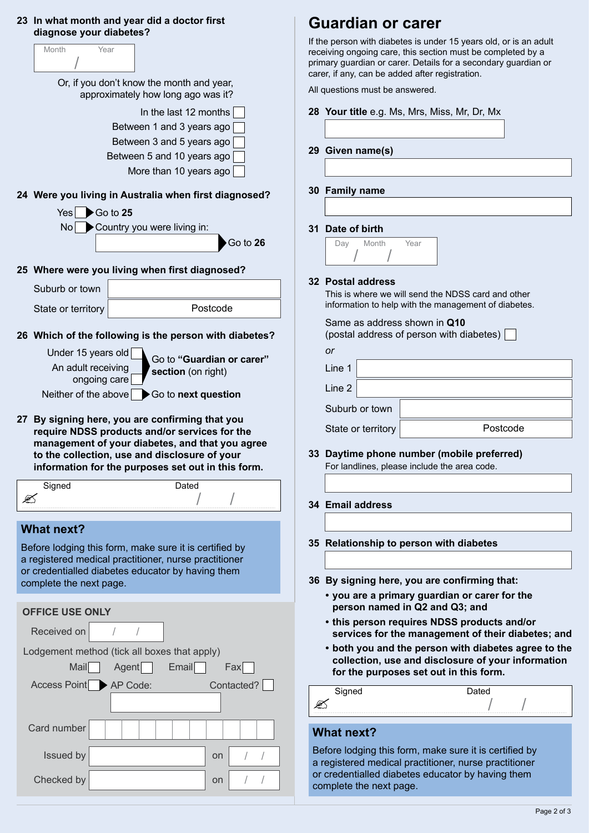### **23 In what month and year did a doctor first diagnose your diabetes?**

|    | clagnose your diabetes ? |                                                                                                  |
|----|--------------------------|--------------------------------------------------------------------------------------------------|
|    | Month                    | Year                                                                                             |
|    |                          | Or, if you don't know the month and year,<br>approximately how long ago was it?                  |
|    |                          | In the last 12 months                                                                            |
|    |                          | Between 1 and 3 years ago                                                                        |
|    |                          | Between 3 and 5 years ago                                                                        |
|    |                          | Between 5 and 10 years ago                                                                       |
|    |                          | More than 10 years ago                                                                           |
|    |                          | 24 Were you living in Australia when first diagnosed?                                            |
|    | Yesl                     | $\triangleright$ Go to 25                                                                        |
|    | No.                      | Country you were living in:                                                                      |
|    |                          | Go to 26                                                                                         |
|    |                          | 25 Where were you living when first diagnosed?                                                   |
|    | Suburb or town           |                                                                                                  |
|    | State or territory       | Postcode                                                                                         |
|    |                          | 26 Which of the following is the person with diabetes?                                           |
|    | Under 15 years old       |                                                                                                  |
|    | An adult receiving       | Go to "Guardian or carer"<br>section (on right)                                                  |
|    | ongoing care             |                                                                                                  |
|    | Neither of the above     | Go to next question                                                                              |
|    |                          |                                                                                                  |
| 27 |                          | By signing here, you are confirming that you                                                     |
|    |                          | require NDSS products and/or services for the                                                    |
|    |                          | management of your diabetes, and that you agree<br>to the collection, use and disclosure of your |
|    |                          | information for the purposes set out in this form.                                               |
|    | Signed                   | Dated                                                                                            |
|    |                          |                                                                                                  |
|    | <b>What next?</b>        |                                                                                                  |
|    |                          | Before lodging this form, make sure it is certified by                                           |
|    |                          | a registered medical practitioner, nurse practitioner                                            |
|    |                          | or credentialled diabetes educator by having them                                                |
|    | complete the next page.  |                                                                                                  |
|    | <b>OFFICE USE ONLY</b>   |                                                                                                  |
|    | Received on              | $\sqrt{2}$<br>$\sqrt{2}$                                                                         |
|    |                          | Lodgement method (tick all boxes that apply)                                                     |
|    | <b>Mail</b>              | Agent<br>Email<br>Fax                                                                            |
|    | Access Point AP Code:    | Contacted?                                                                                       |
|    |                          |                                                                                                  |
|    | Card number              |                                                                                                  |
|    | Issued by                | on<br>$\sqrt{2}$                                                                                 |

## **Guardian or carer**

If the person with diabetes is under 15 years old, or is an adult receiving ongoing care, this section must be completed by a primary guardian or carer. Details for a secondary guardian or carer, if any, can be added after registration.

All questions must be answered.

- **28 Your title** e.g. Ms, Mrs, Miss, Mr, Dr, Mx
- **29 Given name(s)**
- **30 Family name**

### **31 Date of birth**

| Day | Month | Year |
|-----|-------|------|
|     |       |      |

#### **32 Postal address**

This is where we will send the NDSS card and other information to help with the management of diabetes.

| Same as address shown in Q10             |  |
|------------------------------------------|--|
| (postal address of person with diabetes) |  |
| or                                       |  |
|                                          |  |

| Line 1             |          |
|--------------------|----------|
| Line 2             |          |
| Suburb or town     |          |
| State or territory | Postcode |

**33 Daytime phone number (mobile preferred)** For landlines, please include the area code.

### **34 Email address**

- **35 Relationship to person with diabetes**
- **36 By signing here, you are confirming that:**
	- **• you are a primary guardian or carer for the person named in Q2 and Q3; and**
	- **• this person requires NDSS products and/or services for the management of their diabetes; and**
	- **• both you and the person with diabetes agree to the collection, use and disclosure of your information for the purposes set out in this form.**

| Signed | ີ*≏∩ |
|--------|------|
|        |      |

### **What next?**

Before lodging this form, make sure it is certified by a registered medical practitioner, nurse practitioner or credentialled diabetes educator by having them complete the next page.